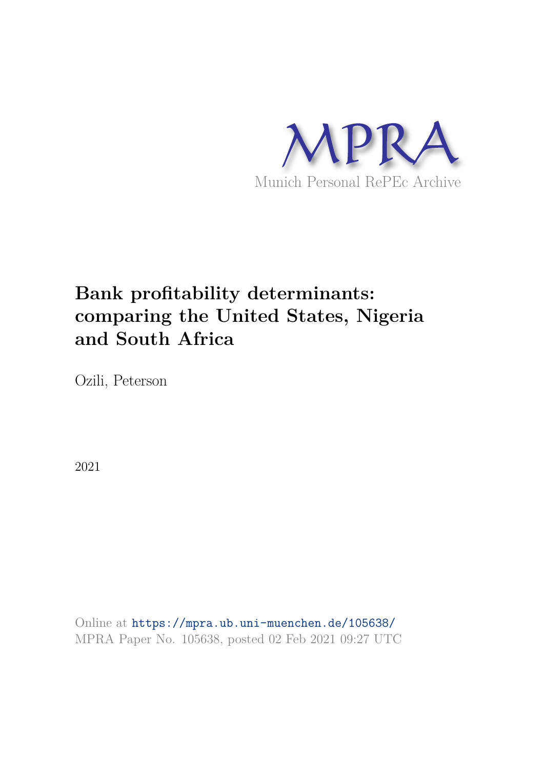

# **Bank profitability determinants: comparing the United States, Nigeria and South Africa**

Ozili, Peterson

2021

Online at https://mpra.ub.uni-muenchen.de/105638/ MPRA Paper No. 105638, posted 02 Feb 2021 09:27 UTC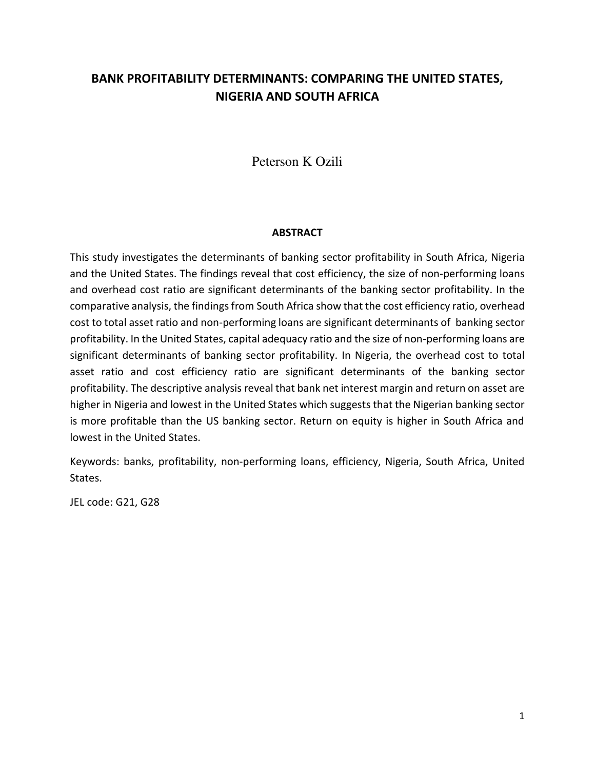# **BANK PROFITABILITY DETERMINANTS: COMPARING THE UNITED STATES, NIGERIA AND SOUTH AFRICA**

Peterson K Ozili

#### **ABSTRACT**

This study investigates the determinants of banking sector profitability in South Africa, Nigeria and the United States. The findings reveal that cost efficiency, the size of non-performing loans and overhead cost ratio are significant determinants of the banking sector profitability. In the comparative analysis, the findings from South Africa show that the cost efficiency ratio, overhead cost to total asset ratio and non-performing loans are significant determinants of banking sector profitability. In the United States, capital adequacy ratio and the size of non-performing loans are significant determinants of banking sector profitability. In Nigeria, the overhead cost to total asset ratio and cost efficiency ratio are significant determinants of the banking sector profitability. The descriptive analysis reveal that bank net interest margin and return on asset are higher in Nigeria and lowest in the United States which suggests that the Nigerian banking sector is more profitable than the US banking sector. Return on equity is higher in South Africa and lowest in the United States.

Keywords: banks, profitability, non-performing loans, efficiency, Nigeria, South Africa, United States.

JEL code: G21, G28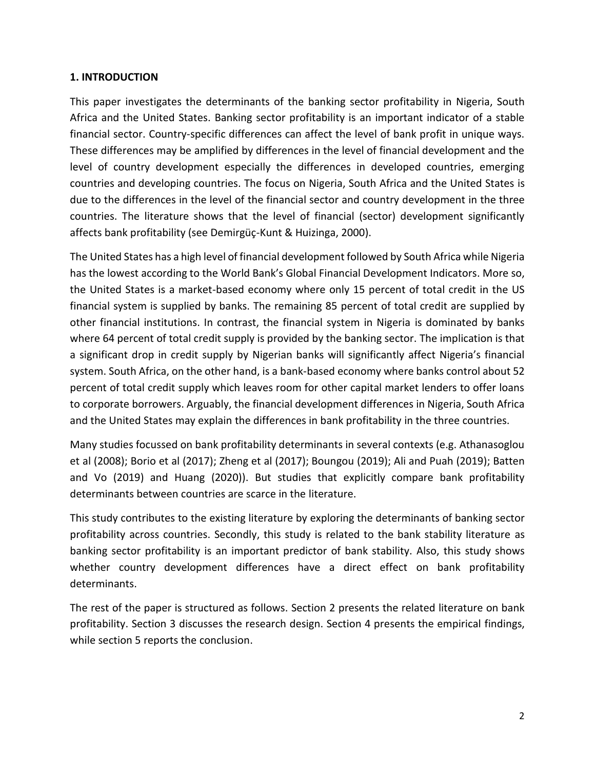#### **1. INTRODUCTION**

This paper investigates the determinants of the banking sector profitability in Nigeria, South Africa and the United States. Banking sector profitability is an important indicator of a stable financial sector. Country-specific differences can affect the level of bank profit in unique ways. These differences may be amplified by differences in the level of financial development and the level of country development especially the differences in developed countries, emerging countries and developing countries. The focus on Nigeria, South Africa and the United States is due to the differences in the level of the financial sector and country development in the three countries. The literature shows that the level of financial (sector) development significantly affects bank profitability (see Demirgüç-Kunt & Huizinga, 2000).

The United States has a high level of financial development followed by South Africa while Nigeria has the lowest according to the World Bank's Global Financial Development Indicators. More so, the United States is a market-based economy where only 15 percent of total credit in the US financial system is supplied by banks. The remaining 85 percent of total credit are supplied by other financial institutions. In contrast, the financial system in Nigeria is dominated by banks where 64 percent of total credit supply is provided by the banking sector. The implication is that a significant drop in credit supply by Nigerian banks will significantly affect Nigeria's financial system. South Africa, on the other hand, is a bank-based economy where banks control about 52 percent of total credit supply which leaves room for other capital market lenders to offer loans to corporate borrowers. Arguably, the financial development differences in Nigeria, South Africa and the United States may explain the differences in bank profitability in the three countries.

Many studies focussed on bank profitability determinants in several contexts (e.g. Athanasoglou et al (2008); Borio et al (2017); Zheng et al (2017); Boungou (2019); Ali and Puah (2019); Batten and Vo (2019) and Huang (2020)). But studies that explicitly compare bank profitability determinants between countries are scarce in the literature.

This study contributes to the existing literature by exploring the determinants of banking sector profitability across countries. Secondly, this study is related to the bank stability literature as banking sector profitability is an important predictor of bank stability. Also, this study shows whether country development differences have a direct effect on bank profitability determinants.

The rest of the paper is structured as follows. Section 2 presents the related literature on bank profitability. Section 3 discusses the research design. Section 4 presents the empirical findings, while section 5 reports the conclusion.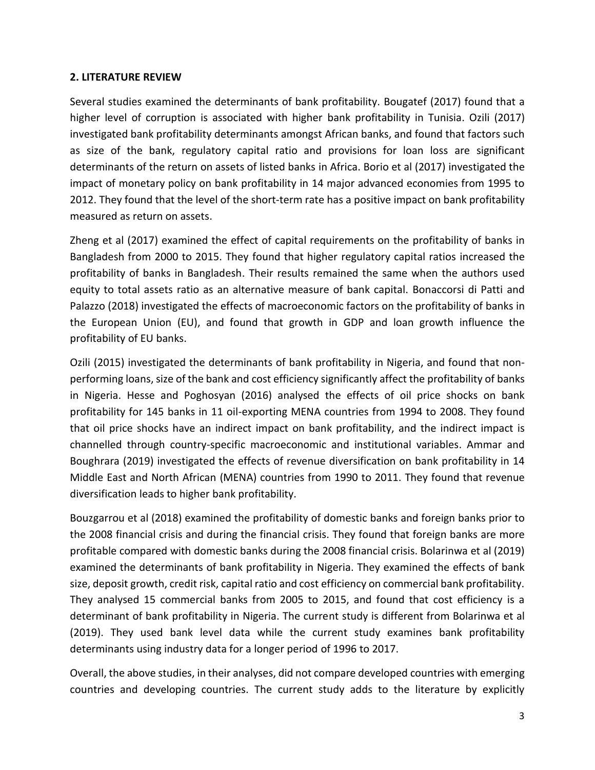#### **2. LITERATURE REVIEW**

Several studies examined the determinants of bank profitability. Bougatef (2017) found that a higher level of corruption is associated with higher bank profitability in Tunisia. Ozili (2017) investigated bank profitability determinants amongst African banks, and found that factors such as size of the bank, regulatory capital ratio and provisions for loan loss are significant determinants of the return on assets of listed banks in Africa. Borio et al (2017) investigated the impact of monetary policy on bank profitability in 14 major advanced economies from 1995 to 2012. They found that the level of the short-term rate has a positive impact on bank profitability measured as return on assets.

Zheng et al (2017) examined the effect of capital requirements on the profitability of banks in Bangladesh from 2000 to 2015. They found that higher regulatory capital ratios increased the profitability of banks in Bangladesh. Their results remained the same when the authors used equity to total assets ratio as an alternative measure of bank capital. Bonaccorsi di Patti and Palazzo (2018) investigated the effects of macroeconomic factors on the profitability of banks in the European Union (EU), and found that growth in GDP and loan growth influence the profitability of EU banks.

Ozili (2015) investigated the determinants of bank profitability in Nigeria, and found that nonperforming loans, size of the bank and cost efficiency significantly affect the profitability of banks in Nigeria. Hesse and Poghosyan (2016) analysed the effects of oil price shocks on bank profitability for 145 banks in 11 oil-exporting MENA countries from 1994 to 2008. They found that oil price shocks have an indirect impact on bank profitability, and the indirect impact is channelled through country-specific macroeconomic and institutional variables. Ammar and Boughrara (2019) investigated the effects of revenue diversification on bank profitability in 14 Middle East and North African (MENA) countries from 1990 to 2011. They found that revenue diversification leads to higher bank profitability.

Bouzgarrou et al (2018) examined the profitability of domestic banks and foreign banks prior to the 2008 financial crisis and during the financial crisis. They found that foreign banks are more profitable compared with domestic banks during the 2008 financial crisis. Bolarinwa et al (2019) examined the determinants of bank profitability in Nigeria. They examined the effects of bank size, deposit growth, credit risk, capital ratio and cost efficiency on commercial bank profitability. They analysed 15 commercial banks from 2005 to 2015, and found that cost efficiency is a determinant of bank profitability in Nigeria. The current study is different from Bolarinwa et al (2019). They used bank level data while the current study examines bank profitability determinants using industry data for a longer period of 1996 to 2017.

Overall, the above studies, in their analyses, did not compare developed countries with emerging countries and developing countries. The current study adds to the literature by explicitly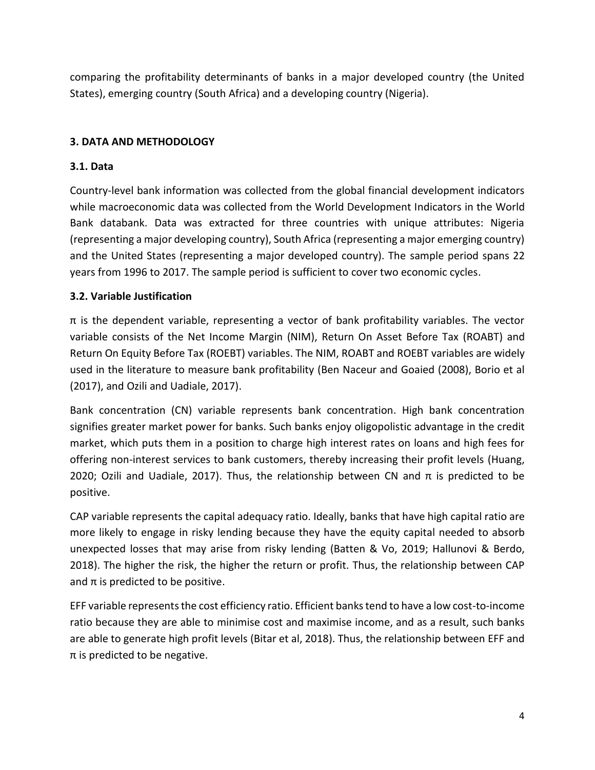comparing the profitability determinants of banks in a major developed country (the United States), emerging country (South Africa) and a developing country (Nigeria).

# **3. DATA AND METHODOLOGY**

# **3.1. Data**

Country-level bank information was collected from the global financial development indicators while macroeconomic data was collected from the World Development Indicators in the World Bank databank. Data was extracted for three countries with unique attributes: Nigeria (representing a major developing country), South Africa (representing a major emerging country) and the United States (representing a major developed country). The sample period spans 22 years from 1996 to 2017. The sample period is sufficient to cover two economic cycles.

# **3.2. Variable Justification**

 $\pi$  is the dependent variable, representing a vector of bank profitability variables. The vector variable consists of the Net Income Margin (NIM), Return On Asset Before Tax (ROABT) and Return On Equity Before Tax (ROEBT) variables. The NIM, ROABT and ROEBT variables are widely used in the literature to measure bank profitability (Ben Naceur and Goaied (2008), Borio et al (2017), and Ozili and Uadiale, 2017).

Bank concentration (CN) variable represents bank concentration. High bank concentration signifies greater market power for banks. Such banks enjoy oligopolistic advantage in the credit market, which puts them in a position to charge high interest rates on loans and high fees for offering non-interest services to bank customers, thereby increasing their profit levels (Huang, 2020; Ozili and Uadiale, 2017). Thus, the relationship between CN and  $\pi$  is predicted to be positive.

CAP variable represents the capital adequacy ratio. Ideally, banks that have high capital ratio are more likely to engage in risky lending because they have the equity capital needed to absorb unexpected losses that may arise from risky lending (Batten & Vo, 2019; Hallunovi & Berdo, 2018). The higher the risk, the higher the return or profit. Thus, the relationship between CAP and  $\pi$  is predicted to be positive.

EFF variable represents the cost efficiency ratio. Efficient banks tend to have a low cost-to-income ratio because they are able to minimise cost and maximise income, and as a result, such banks are able to generate high profit levels (Bitar et al, 2018). Thus, the relationship between EFF and  $\pi$  is predicted to be negative.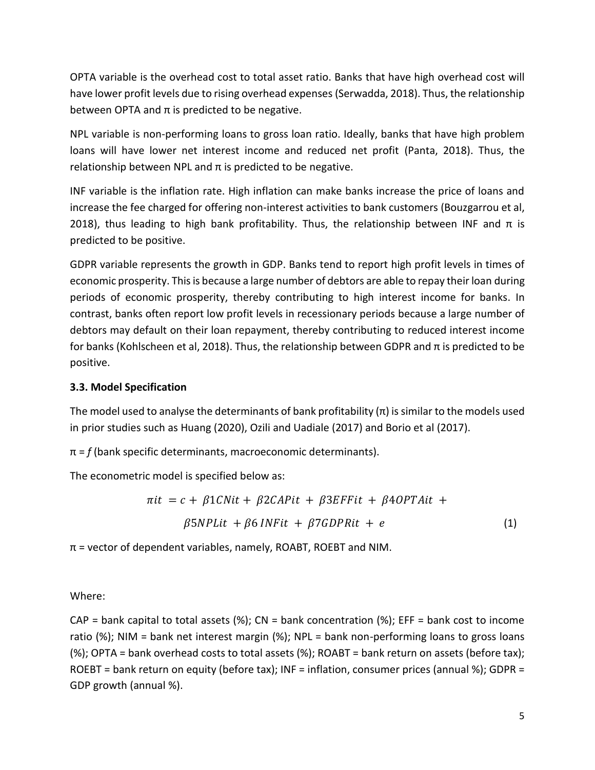OPTA variable is the overhead cost to total asset ratio. Banks that have high overhead cost will have lower profit levels due to rising overhead expenses (Serwadda, 2018). Thus, the relationship between OPTA and  $\pi$  is predicted to be negative.

NPL variable is non-performing loans to gross loan ratio. Ideally, banks that have high problem loans will have lower net interest income and reduced net profit (Panta, 2018). Thus, the relationship between NPL and  $π$  is predicted to be negative.

INF variable is the inflation rate. High inflation can make banks increase the price of loans and increase the fee charged for offering non-interest activities to bank customers (Bouzgarrou et al, 2018), thus leading to high bank profitability. Thus, the relationship between INF and  $\pi$  is predicted to be positive.

GDPR variable represents the growth in GDP. Banks tend to report high profit levels in times of economic prosperity. This is because a large number of debtors are able to repay their loan during periods of economic prosperity, thereby contributing to high interest income for banks. In contrast, banks often report low profit levels in recessionary periods because a large number of debtors may default on their loan repayment, thereby contributing to reduced interest income for banks (Kohlscheen et al, 2018). Thus, the relationship between GDPR and π is predicted to be positive.

# **3.3. Model Specification**

The model used to analyse the determinants of bank profitability  $(\pi)$  is similar to the models used in prior studies such as Huang (2020), Ozili and Uadiale (2017) and Borio et al (2017).

 $\pi$  =  $f$  (bank specific determinants, macroeconomic determinants).

The econometric model is specified below as:

$$
\pi it = c + \beta 1CNit + \beta 2CAPit + \beta 3EFFit + \beta 4OPTAit +
$$
  

$$
\beta 5NPLit + \beta 6 INFit + \beta 7 GDPRit + e
$$
 (1)

 $\pi$  = vector of dependent variables, namely, ROABT, ROEBT and NIM.

Where:

 $CAP = bank capital to total assets (%); CN = bank concentration (%); EFF = bank cost to income$ ratio (%); NIM = bank net interest margin (%); NPL = bank non-performing loans to gross loans (%); OPTA = bank overhead costs to total assets (%); ROABT = bank return on assets (before tax); ROEBT = bank return on equity (before tax); INF = inflation, consumer prices (annual %); GDPR = GDP growth (annual %).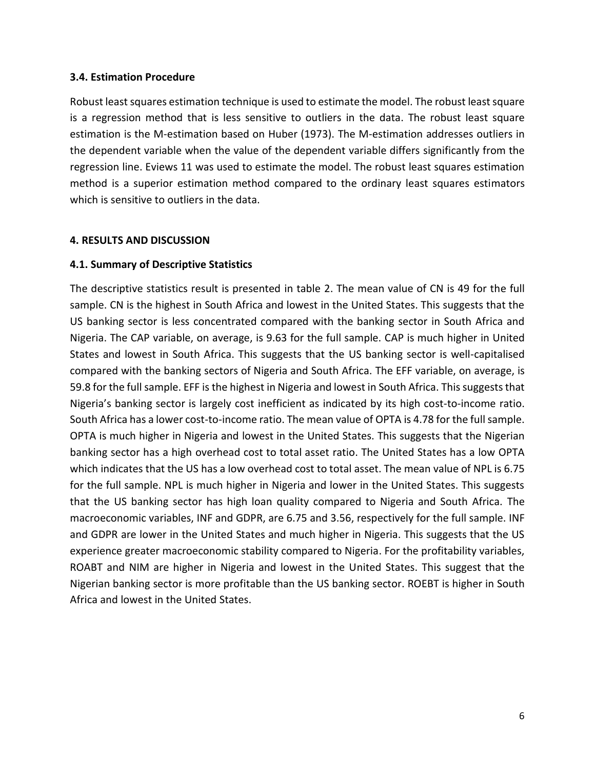#### **3.4. Estimation Procedure**

Robust least squares estimation technique is used to estimate the model. The robust least square is a regression method that is less sensitive to outliers in the data. The robust least square estimation is the M-estimation based on Huber (1973). The M-estimation addresses outliers in the dependent variable when the value of the dependent variable differs significantly from the regression line. Eviews 11 was used to estimate the model. The robust least squares estimation method is a superior estimation method compared to the ordinary least squares estimators which is sensitive to outliers in the data.

#### **4. RESULTS AND DISCUSSION**

#### **4.1. Summary of Descriptive Statistics**

The descriptive statistics result is presented in table 2. The mean value of CN is 49 for the full sample. CN is the highest in South Africa and lowest in the United States. This suggests that the US banking sector is less concentrated compared with the banking sector in South Africa and Nigeria. The CAP variable, on average, is 9.63 for the full sample. CAP is much higher in United States and lowest in South Africa. This suggests that the US banking sector is well-capitalised compared with the banking sectors of Nigeria and South Africa. The EFF variable, on average, is 59.8 for the full sample. EFF is the highest in Nigeria and lowest in South Africa. This suggests that Nigeria's banking sector is largely cost inefficient as indicated by its high cost-to-income ratio. South Africa has a lower cost-to-income ratio. The mean value of OPTA is 4.78 for the full sample. OPTA is much higher in Nigeria and lowest in the United States. This suggests that the Nigerian banking sector has a high overhead cost to total asset ratio. The United States has a low OPTA which indicates that the US has a low overhead cost to total asset. The mean value of NPL is 6.75 for the full sample. NPL is much higher in Nigeria and lower in the United States. This suggests that the US banking sector has high loan quality compared to Nigeria and South Africa. The macroeconomic variables, INF and GDPR, are 6.75 and 3.56, respectively for the full sample. INF and GDPR are lower in the United States and much higher in Nigeria. This suggests that the US experience greater macroeconomic stability compared to Nigeria. For the profitability variables, ROABT and NIM are higher in Nigeria and lowest in the United States. This suggest that the Nigerian banking sector is more profitable than the US banking sector. ROEBT is higher in South Africa and lowest in the United States.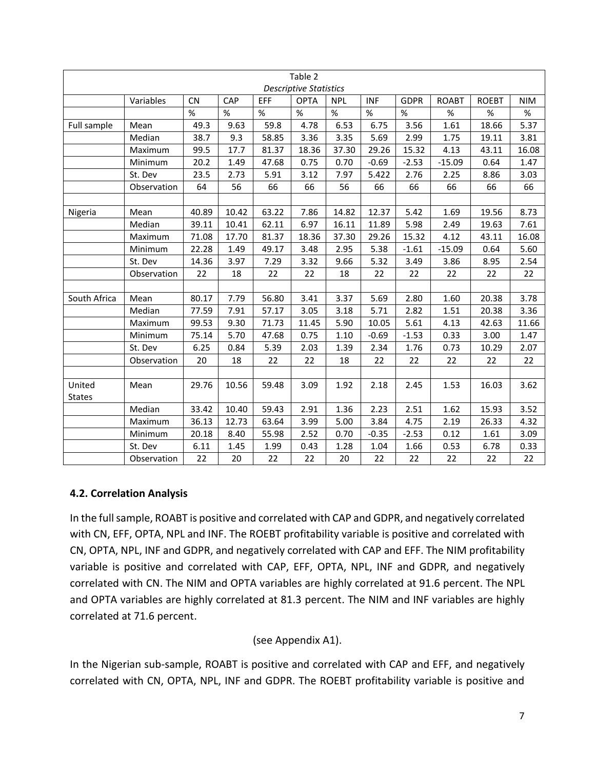| Table 2<br><b>Descriptive Statistics</b> |             |           |       |       |             |            |            |             |              |              |            |
|------------------------------------------|-------------|-----------|-------|-------|-------------|------------|------------|-------------|--------------|--------------|------------|
|                                          | Variables   | <b>CN</b> | CAP   | EFF   | <b>OPTA</b> | <b>NPL</b> | <b>INF</b> | <b>GDPR</b> | <b>ROABT</b> | <b>ROEBT</b> | <b>NIM</b> |
|                                          |             | $\%$      | %     | %     | %           | $\%$       | %          | %           | $\%$         | $\%$         | $\%$       |
| Full sample                              | Mean        | 49.3      | 9.63  | 59.8  | 4.78        | 6.53       | 6.75       | 3.56        | 1.61         | 18.66        | 5.37       |
|                                          | Median      | 38.7      | 9.3   | 58.85 | 3.36        | 3.35       | 5.69       | 2.99        | 1.75         | 19.11        | 3.81       |
|                                          | Maximum     | 99.5      | 17.7  | 81.37 | 18.36       | 37.30      | 29.26      | 15.32       | 4.13         | 43.11        | 16.08      |
|                                          | Minimum     | 20.2      | 1.49  | 47.68 | 0.75        | 0.70       | $-0.69$    | $-2.53$     | $-15.09$     | 0.64         | 1.47       |
|                                          | St. Dev     | 23.5      | 2.73  | 5.91  | 3.12        | 7.97       | 5.422      | 2.76        | 2.25         | 8.86         | 3.03       |
|                                          | Observation | 64        | 56    | 66    | 66          | 56         | 66         | 66          | 66           | 66           | 66         |
|                                          |             |           |       |       |             |            |            |             |              |              |            |
| Nigeria                                  | Mean        | 40.89     | 10.42 | 63.22 | 7.86        | 14.82      | 12.37      | 5.42        | 1.69         | 19.56        | 8.73       |
|                                          | Median      | 39.11     | 10.41 | 62.11 | 6.97        | 16.11      | 11.89      | 5.98        | 2.49         | 19.63        | 7.61       |
|                                          | Maximum     | 71.08     | 17.70 | 81.37 | 18.36       | 37.30      | 29.26      | 15.32       | 4.12         | 43.11        | 16.08      |
|                                          | Minimum     | 22.28     | 1.49  | 49.17 | 3.48        | 2.95       | 5.38       | $-1.61$     | $-15.09$     | 0.64         | 5.60       |
|                                          | St. Dev     | 14.36     | 3.97  | 7.29  | 3.32        | 9.66       | 5.32       | 3.49        | 3.86         | 8.95         | 2.54       |
|                                          | Observation | 22        | 18    | 22    | 22          | 18         | 22         | 22          | 22           | 22           | 22         |
|                                          |             |           |       |       |             |            |            |             |              |              |            |
| South Africa                             | Mean        | 80.17     | 7.79  | 56.80 | 3.41        | 3.37       | 5.69       | 2.80        | 1.60         | 20.38        | 3.78       |
|                                          | Median      | 77.59     | 7.91  | 57.17 | 3.05        | 3.18       | 5.71       | 2.82        | 1.51         | 20.38        | 3.36       |
|                                          | Maximum     | 99.53     | 9.30  | 71.73 | 11.45       | 5.90       | 10.05      | 5.61        | 4.13         | 42.63        | 11.66      |
|                                          | Minimum     | 75.14     | 5.70  | 47.68 | 0.75        | 1.10       | $-0.69$    | $-1.53$     | 0.33         | 3.00         | 1.47       |
|                                          | St. Dev     | 6.25      | 0.84  | 5.39  | 2.03        | 1.39       | 2.34       | 1.76        | 0.73         | 10.29        | 2.07       |
|                                          | Observation | 20        | 18    | 22    | 22          | 18         | 22         | 22          | 22           | 22           | 22         |
|                                          |             |           |       |       |             |            |            |             |              |              |            |
| United<br><b>States</b>                  | Mean        | 29.76     | 10.56 | 59.48 | 3.09        | 1.92       | 2.18       | 2.45        | 1.53         | 16.03        | 3.62       |
|                                          | Median      | 33.42     | 10.40 | 59.43 | 2.91        | 1.36       | 2.23       | 2.51        | 1.62         | 15.93        | 3.52       |
|                                          | Maximum     | 36.13     | 12.73 | 63.64 | 3.99        | 5.00       | 3.84       | 4.75        | 2.19         | 26.33        | 4.32       |
|                                          | Minimum     | 20.18     | 8.40  | 55.98 | 2.52        | 0.70       | $-0.35$    | $-2.53$     | 0.12         | 1.61         | 3.09       |
|                                          | St. Dev     | 6.11      | 1.45  | 1.99  | 0.43        | 1.28       | 1.04       | 1.66        | 0.53         | 6.78         | 0.33       |
|                                          | Observation | 22        | 20    | 22    | 22          | 20         | 22         | 22          | 22           | 22           | 22         |

#### **4.2. Correlation Analysis**

In the full sample, ROABT is positive and correlated with CAP and GDPR, and negatively correlated with CN, EFF, OPTA, NPL and INF. The ROEBT profitability variable is positive and correlated with CN, OPTA, NPL, INF and GDPR, and negatively correlated with CAP and EFF. The NIM profitability variable is positive and correlated with CAP, EFF, OPTA, NPL, INF and GDPR, and negatively correlated with CN. The NIM and OPTA variables are highly correlated at 91.6 percent. The NPL and OPTA variables are highly correlated at 81.3 percent. The NIM and INF variables are highly correlated at 71.6 percent.

# (see Appendix A1).

In the Nigerian sub-sample, ROABT is positive and correlated with CAP and EFF, and negatively correlated with CN, OPTA, NPL, INF and GDPR. The ROEBT profitability variable is positive and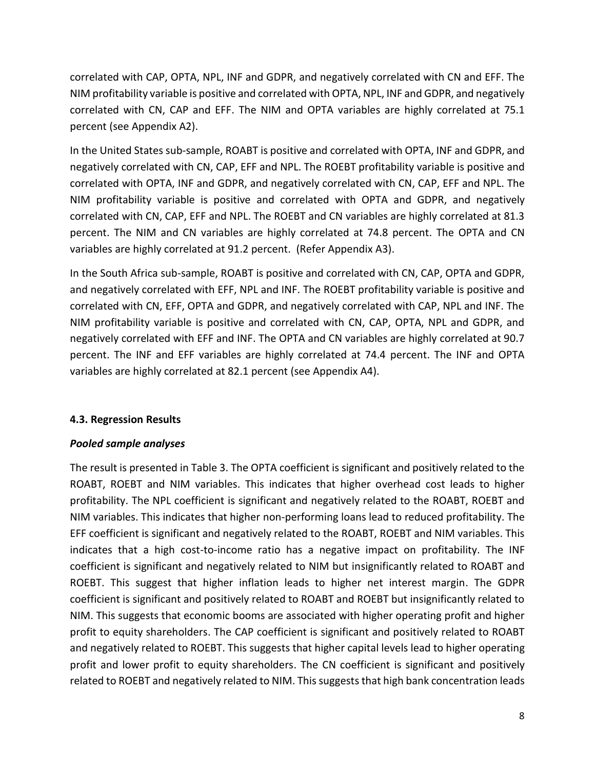correlated with CAP, OPTA, NPL, INF and GDPR, and negatively correlated with CN and EFF. The NIM profitability variable is positive and correlated with OPTA, NPL, INF and GDPR, and negatively correlated with CN, CAP and EFF. The NIM and OPTA variables are highly correlated at 75.1 percent (see Appendix A2).

In the United States sub-sample, ROABT is positive and correlated with OPTA, INF and GDPR, and negatively correlated with CN, CAP, EFF and NPL. The ROEBT profitability variable is positive and correlated with OPTA, INF and GDPR, and negatively correlated with CN, CAP, EFF and NPL. The NIM profitability variable is positive and correlated with OPTA and GDPR, and negatively correlated with CN, CAP, EFF and NPL. The ROEBT and CN variables are highly correlated at 81.3 percent. The NIM and CN variables are highly correlated at 74.8 percent. The OPTA and CN variables are highly correlated at 91.2 percent. (Refer Appendix A3).

In the South Africa sub-sample, ROABT is positive and correlated with CN, CAP, OPTA and GDPR, and negatively correlated with EFF, NPL and INF. The ROEBT profitability variable is positive and correlated with CN, EFF, OPTA and GDPR, and negatively correlated with CAP, NPL and INF. The NIM profitability variable is positive and correlated with CN, CAP, OPTA, NPL and GDPR, and negatively correlated with EFF and INF. The OPTA and CN variables are highly correlated at 90.7 percent. The INF and EFF variables are highly correlated at 74.4 percent. The INF and OPTA variables are highly correlated at 82.1 percent (see Appendix A4).

# **4.3. Regression Results**

# *Pooled sample analyses*

The result is presented in Table 3. The OPTA coefficient is significant and positively related to the ROABT, ROEBT and NIM variables. This indicates that higher overhead cost leads to higher profitability. The NPL coefficient is significant and negatively related to the ROABT, ROEBT and NIM variables. This indicates that higher non-performing loans lead to reduced profitability. The EFF coefficient is significant and negatively related to the ROABT, ROEBT and NIM variables. This indicates that a high cost-to-income ratio has a negative impact on profitability. The INF coefficient is significant and negatively related to NIM but insignificantly related to ROABT and ROEBT. This suggest that higher inflation leads to higher net interest margin. The GDPR coefficient is significant and positively related to ROABT and ROEBT but insignificantly related to NIM. This suggests that economic booms are associated with higher operating profit and higher profit to equity shareholders. The CAP coefficient is significant and positively related to ROABT and negatively related to ROEBT. This suggests that higher capital levels lead to higher operating profit and lower profit to equity shareholders. The CN coefficient is significant and positively related to ROEBT and negatively related to NIM. This suggests that high bank concentration leads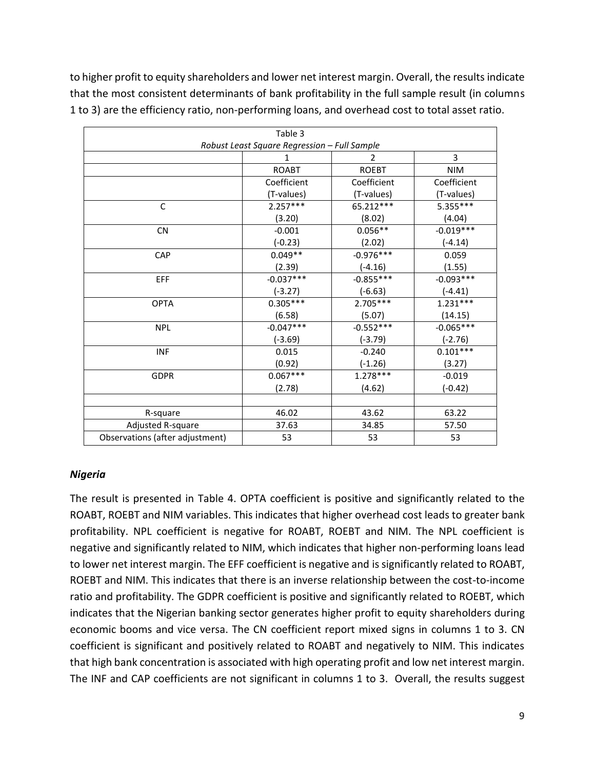to higher profit to equity shareholders and lower net interest margin. Overall, the results indicate that the most consistent determinants of bank profitability in the full sample result (in columns 1 to 3) are the efficiency ratio, non-performing loans, and overhead cost to total asset ratio.

| Table 3                         |                                              |               |             |  |  |  |  |  |  |
|---------------------------------|----------------------------------------------|---------------|-------------|--|--|--|--|--|--|
|                                 | Robust Least Square Regression - Full Sample |               |             |  |  |  |  |  |  |
|                                 | 1                                            | $\mathcal{P}$ | 3           |  |  |  |  |  |  |
|                                 | <b>ROABT</b>                                 | <b>ROEBT</b>  | <b>NIM</b>  |  |  |  |  |  |  |
|                                 | Coefficient                                  | Coefficient   | Coefficient |  |  |  |  |  |  |
|                                 | (T-values)                                   | (T-values)    | (T-values)  |  |  |  |  |  |  |
| C                               | $2.257***$                                   | 65.212***     | $5.355***$  |  |  |  |  |  |  |
|                                 | (3.20)                                       | (8.02)        | (4.04)      |  |  |  |  |  |  |
| <b>CN</b>                       | $-0.001$                                     | $0.056**$     | $-0.019***$ |  |  |  |  |  |  |
|                                 | $(-0.23)$                                    | (2.02)        | $(-4.14)$   |  |  |  |  |  |  |
| CAP                             | $0.049**$                                    | $-0.976***$   | 0.059       |  |  |  |  |  |  |
|                                 | (2.39)                                       | $(-4.16)$     | (1.55)      |  |  |  |  |  |  |
| EFF                             | $-0.037***$                                  | $-0.855***$   | $-0.093***$ |  |  |  |  |  |  |
|                                 | $(-3.27)$                                    | $(-6.63)$     | $(-4.41)$   |  |  |  |  |  |  |
| <b>OPTA</b>                     | $0.305***$                                   | $2.705***$    | $1.231***$  |  |  |  |  |  |  |
|                                 | (6.58)                                       | (5.07)        | (14.15)     |  |  |  |  |  |  |
| <b>NPL</b>                      | $-0.047***$                                  | $-0.552***$   | $-0.065***$ |  |  |  |  |  |  |
|                                 | $(-3.69)$                                    | $(-3.79)$     | $(-2.76)$   |  |  |  |  |  |  |
| <b>INF</b>                      | 0.015                                        | $-0.240$      | $0.101***$  |  |  |  |  |  |  |
|                                 | (0.92)                                       | $(-1.26)$     | (3.27)      |  |  |  |  |  |  |
| <b>GDPR</b>                     | $0.067***$                                   | $1.278***$    | $-0.019$    |  |  |  |  |  |  |
|                                 | (2.78)                                       | (4.62)        | $(-0.42)$   |  |  |  |  |  |  |
|                                 |                                              |               |             |  |  |  |  |  |  |
| R-square                        | 46.02                                        | 43.62         | 63.22       |  |  |  |  |  |  |
| Adjusted R-square               | 37.63                                        | 34.85         | 57.50       |  |  |  |  |  |  |
| Observations (after adjustment) | 53                                           | 53            | 53          |  |  |  |  |  |  |

#### *Nigeria*

The result is presented in Table 4. OPTA coefficient is positive and significantly related to the ROABT, ROEBT and NIM variables. This indicates that higher overhead cost leads to greater bank profitability. NPL coefficient is negative for ROABT, ROEBT and NIM. The NPL coefficient is negative and significantly related to NIM, which indicates that higher non-performing loans lead to lower net interest margin. The EFF coefficient is negative and is significantly related to ROABT, ROEBT and NIM. This indicates that there is an inverse relationship between the cost-to-income ratio and profitability. The GDPR coefficient is positive and significantly related to ROEBT, which indicates that the Nigerian banking sector generates higher profit to equity shareholders during economic booms and vice versa. The CN coefficient report mixed signs in columns 1 to 3. CN coefficient is significant and positively related to ROABT and negatively to NIM. This indicates that high bank concentration is associated with high operating profit and low net interest margin. The INF and CAP coefficients are not significant in columns 1 to 3. Overall, the results suggest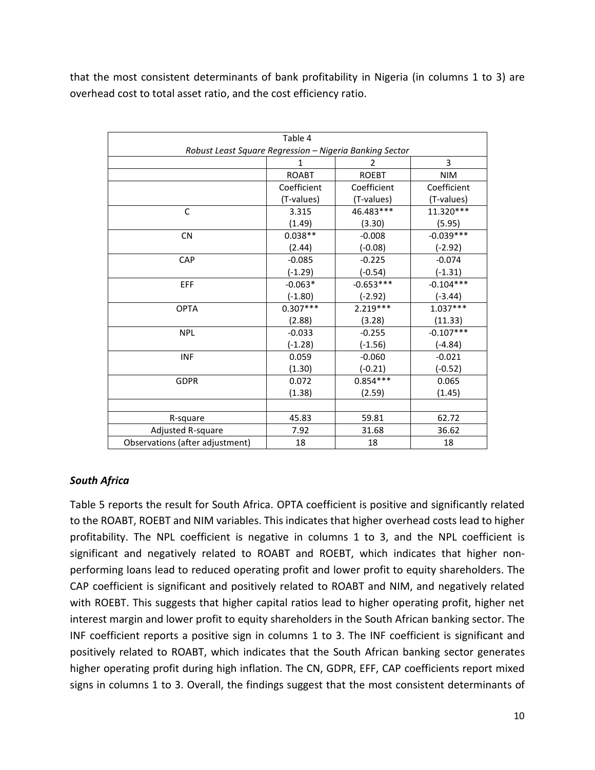that the most consistent determinants of bank profitability in Nigeria (in columns 1 to 3) are overhead cost to total asset ratio, and the cost efficiency ratio.

| Table 4                                                 |              |                |             |  |  |  |  |  |  |
|---------------------------------------------------------|--------------|----------------|-------------|--|--|--|--|--|--|
| Robust Least Square Regression - Nigeria Banking Sector |              |                |             |  |  |  |  |  |  |
|                                                         | 1            | $\overline{2}$ | 3           |  |  |  |  |  |  |
|                                                         | <b>ROABT</b> | <b>ROEBT</b>   | <b>NIM</b>  |  |  |  |  |  |  |
|                                                         | Coefficient  | Coefficient    | Coefficient |  |  |  |  |  |  |
|                                                         | (T-values)   | (T-values)     | (T-values)  |  |  |  |  |  |  |
| $\mathsf{C}$                                            | 3.315        | 46.483***      | 11.320***   |  |  |  |  |  |  |
|                                                         | (1.49)       | (3.30)         | (5.95)      |  |  |  |  |  |  |
| <b>CN</b>                                               | $0.038**$    | $-0.008$       | $-0.039***$ |  |  |  |  |  |  |
|                                                         | (2.44)       | $(-0.08)$      | $(-2.92)$   |  |  |  |  |  |  |
| <b>CAP</b>                                              | $-0.085$     | $-0.225$       | $-0.074$    |  |  |  |  |  |  |
|                                                         | $(-1.29)$    | $(-0.54)$      | $(-1.31)$   |  |  |  |  |  |  |
| EFF                                                     | $-0.063*$    | $-0.653***$    | $-0.104***$ |  |  |  |  |  |  |
|                                                         | $(-1.80)$    | $(-2.92)$      | $(-3.44)$   |  |  |  |  |  |  |
| <b>OPTA</b>                                             | $0.307***$   | $2.219***$     | $1.037***$  |  |  |  |  |  |  |
|                                                         | (2.88)       | (3.28)         | (11.33)     |  |  |  |  |  |  |
| <b>NPL</b>                                              | $-0.033$     | $-0.255$       | $-0.107***$ |  |  |  |  |  |  |
|                                                         | $(-1.28)$    | $(-1.56)$      | $(-4.84)$   |  |  |  |  |  |  |
| <b>INF</b>                                              | 0.059        | $-0.060$       | $-0.021$    |  |  |  |  |  |  |
|                                                         | (1.30)       | $(-0.21)$      | $(-0.52)$   |  |  |  |  |  |  |
| <b>GDPR</b>                                             | 0.072        | $0.854***$     | 0.065       |  |  |  |  |  |  |
|                                                         | (1.38)       | (2.59)         | (1.45)      |  |  |  |  |  |  |
|                                                         |              |                |             |  |  |  |  |  |  |
| R-square                                                | 45.83        | 59.81          | 62.72       |  |  |  |  |  |  |
| Adjusted R-square                                       | 7.92         | 31.68          | 36.62       |  |  |  |  |  |  |
| Observations (after adjustment)                         | 18           | 18             | 18          |  |  |  |  |  |  |

# *South Africa*

Table 5 reports the result for South Africa. OPTA coefficient is positive and significantly related to the ROABT, ROEBT and NIM variables. This indicates that higher overhead costs lead to higher profitability. The NPL coefficient is negative in columns 1 to 3, and the NPL coefficient is significant and negatively related to ROABT and ROEBT, which indicates that higher nonperforming loans lead to reduced operating profit and lower profit to equity shareholders. The CAP coefficient is significant and positively related to ROABT and NIM, and negatively related with ROEBT. This suggests that higher capital ratios lead to higher operating profit, higher net interest margin and lower profit to equity shareholders in the South African banking sector. The INF coefficient reports a positive sign in columns 1 to 3. The INF coefficient is significant and positively related to ROABT, which indicates that the South African banking sector generates higher operating profit during high inflation. The CN, GDPR, EFF, CAP coefficients report mixed signs in columns 1 to 3. Overall, the findings suggest that the most consistent determinants of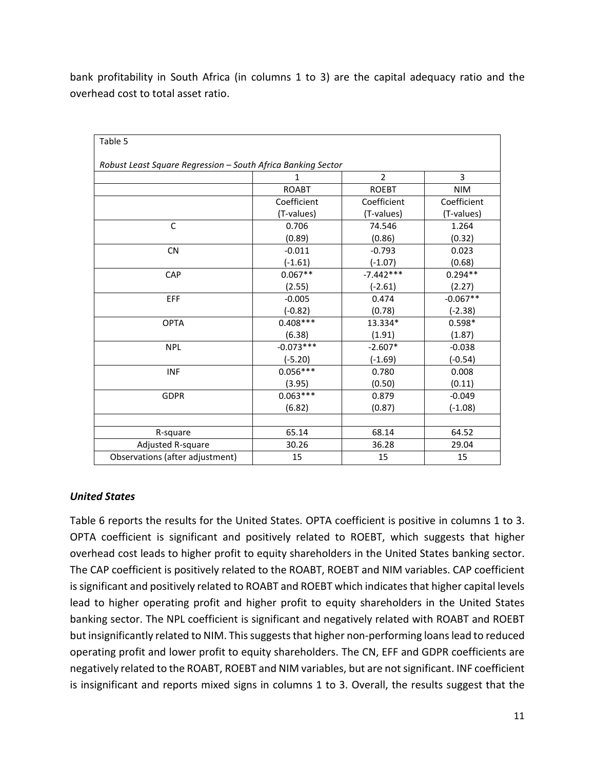bank profitability in South Africa (in columns 1 to 3) are the capital adequacy ratio and the overhead cost to total asset ratio.

| Table 5                                                      |              |                |             |
|--------------------------------------------------------------|--------------|----------------|-------------|
|                                                              |              |                |             |
| Robust Least Square Regression - South Africa Banking Sector |              |                |             |
|                                                              | 1            | $\overline{2}$ | 3           |
|                                                              | <b>ROABT</b> | <b>ROEBT</b>   | <b>NIM</b>  |
|                                                              | Coefficient  | Coefficient    | Coefficient |
|                                                              | (T-values)   | (T-values)     | (T-values)  |
| C                                                            | 0.706        | 74.546         | 1.264       |
|                                                              | (0.89)       | (0.86)         | (0.32)      |
| <b>CN</b>                                                    | $-0.011$     | $-0.793$       | 0.023       |
|                                                              | $(-1.61)$    | $(-1.07)$      | (0.68)      |
| CAP                                                          | $0.067**$    | $-7.442***$    | $0.294**$   |
|                                                              | (2.55)       | $(-2.61)$      | (2.27)      |
| EFF                                                          | $-0.005$     | 0.474          | $-0.067**$  |
|                                                              | $(-0.82)$    | (0.78)         | $(-2.38)$   |
| <b>OPTA</b>                                                  | $0.408***$   | 13.334*        | $0.598*$    |
|                                                              | (6.38)       | (1.91)         | (1.87)      |
| <b>NPL</b>                                                   | $-0.073***$  | $-2.607*$      | $-0.038$    |
|                                                              | $(-5.20)$    | $(-1.69)$      | $(-0.54)$   |
| <b>INF</b>                                                   | $0.056***$   | 0.780          | 0.008       |
|                                                              | (3.95)       | (0.50)         | (0.11)      |
| <b>GDPR</b>                                                  | $0.063***$   | 0.879          | $-0.049$    |
|                                                              | (6.82)       | (0.87)         | $(-1.08)$   |
|                                                              |              |                |             |
| R-square                                                     | 65.14        | 68.14          | 64.52       |
| Adjusted R-square                                            | 30.26        | 36.28          | 29.04       |
| Observations (after adjustment)                              | 15           | 15             | 15          |

# *United States*

Table 6 reports the results for the United States. OPTA coefficient is positive in columns 1 to 3. OPTA coefficient is significant and positively related to ROEBT, which suggests that higher overhead cost leads to higher profit to equity shareholders in the United States banking sector. The CAP coefficient is positively related to the ROABT, ROEBT and NIM variables. CAP coefficient is significant and positively related to ROABT and ROEBT which indicates that higher capital levels lead to higher operating profit and higher profit to equity shareholders in the United States banking sector. The NPL coefficient is significant and negatively related with ROABT and ROEBT but insignificantly related to NIM. This suggests that higher non-performing loans lead to reduced operating profit and lower profit to equity shareholders. The CN, EFF and GDPR coefficients are negatively related to the ROABT, ROEBT and NIM variables, but are not significant. INF coefficient is insignificant and reports mixed signs in columns 1 to 3. Overall, the results suggest that the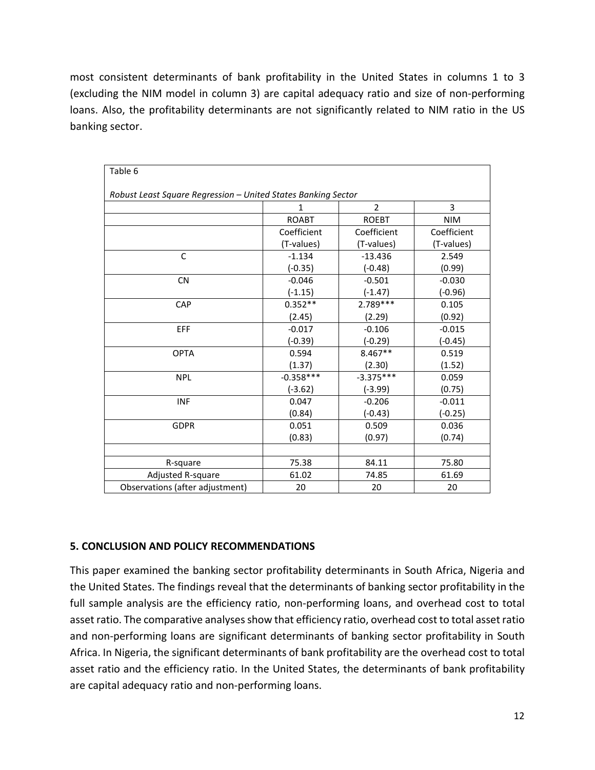most consistent determinants of bank profitability in the United States in columns 1 to 3 (excluding the NIM model in column 3) are capital adequacy ratio and size of non-performing loans. Also, the profitability determinants are not significantly related to NIM ratio in the US banking sector.

| Table 6                                                       |              |                |             |
|---------------------------------------------------------------|--------------|----------------|-------------|
|                                                               |              |                |             |
| Robust Least Square Regression - United States Banking Sector |              |                |             |
|                                                               | 1            | $\overline{2}$ | 3           |
|                                                               | <b>ROABT</b> | <b>ROEBT</b>   | <b>NIM</b>  |
|                                                               | Coefficient  | Coefficient    | Coefficient |
|                                                               | (T-values)   | (T-values)     | (T-values)  |
| C                                                             | $-1.134$     | $-13.436$      | 2.549       |
|                                                               | $(-0.35)$    | $(-0.48)$      | (0.99)      |
| <b>CN</b>                                                     | $-0.046$     | $-0.501$       | $-0.030$    |
|                                                               | $(-1.15)$    | $(-1.47)$      | $(-0.96)$   |
| CAP                                                           | $0.352**$    | 2.789 ***      | 0.105       |
|                                                               | (2.45)       | (2.29)         | (0.92)      |
| EFF                                                           | $-0.017$     | $-0.106$       | $-0.015$    |
|                                                               | $(-0.39)$    | (-0.29)        | $(-0.45)$   |
| <b>OPTA</b>                                                   | 0.594        | 8.467**        | 0.519       |
|                                                               | (1.37)       | (2.30)         | (1.52)      |
| <b>NPL</b>                                                    | $-0.358***$  | $-3.375***$    | 0.059       |
|                                                               | $(-3.62)$    | $(-3.99)$      | (0.75)      |
| <b>INF</b>                                                    | 0.047        | $-0.206$       | $-0.011$    |
|                                                               | (0.84)       | $(-0.43)$      | $(-0.25)$   |
| <b>GDPR</b>                                                   | 0.051        | 0.509          | 0.036       |
|                                                               | (0.83)       | (0.97)         | (0.74)      |
|                                                               |              |                |             |
| R-square                                                      | 75.38        | 84.11          | 75.80       |
| Adjusted R-square                                             | 61.02        | 74.85          | 61.69       |
| Observations (after adjustment)                               | 20           | 20             | 20          |

# **5. CONCLUSION AND POLICY RECOMMENDATIONS**

This paper examined the banking sector profitability determinants in South Africa, Nigeria and the United States. The findings reveal that the determinants of banking sector profitability in the full sample analysis are the efficiency ratio, non-performing loans, and overhead cost to total asset ratio. The comparative analyses show that efficiency ratio, overhead cost to total asset ratio and non-performing loans are significant determinants of banking sector profitability in South Africa. In Nigeria, the significant determinants of bank profitability are the overhead cost to total asset ratio and the efficiency ratio. In the United States, the determinants of bank profitability are capital adequacy ratio and non-performing loans.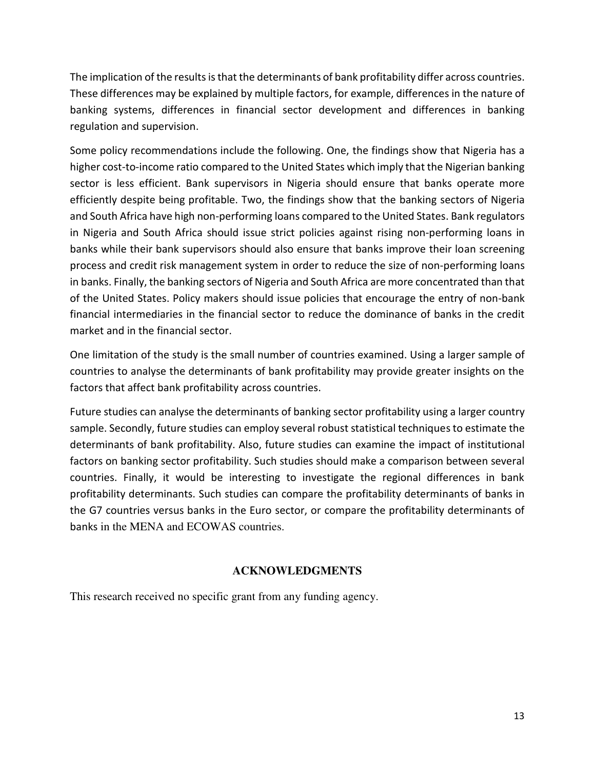The implication of the results is that the determinants of bank profitability differ across countries. These differences may be explained by multiple factors, for example, differences in the nature of banking systems, differences in financial sector development and differences in banking regulation and supervision.

Some policy recommendations include the following. One, the findings show that Nigeria has a higher cost-to-income ratio compared to the United States which imply that the Nigerian banking sector is less efficient. Bank supervisors in Nigeria should ensure that banks operate more efficiently despite being profitable. Two, the findings show that the banking sectors of Nigeria and South Africa have high non-performing loans compared to the United States. Bank regulators in Nigeria and South Africa should issue strict policies against rising non-performing loans in banks while their bank supervisors should also ensure that banks improve their loan screening process and credit risk management system in order to reduce the size of non-performing loans in banks. Finally, the banking sectors of Nigeria and South Africa are more concentrated than that of the United States. Policy makers should issue policies that encourage the entry of non-bank financial intermediaries in the financial sector to reduce the dominance of banks in the credit market and in the financial sector.

One limitation of the study is the small number of countries examined. Using a larger sample of countries to analyse the determinants of bank profitability may provide greater insights on the factors that affect bank profitability across countries.

Future studies can analyse the determinants of banking sector profitability using a larger country sample. Secondly, future studies can employ several robust statistical techniques to estimate the determinants of bank profitability. Also, future studies can examine the impact of institutional factors on banking sector profitability. Such studies should make a comparison between several countries. Finally, it would be interesting to investigate the regional differences in bank profitability determinants. Such studies can compare the profitability determinants of banks in the G7 countries versus banks in the Euro sector, or compare the profitability determinants of banks in the MENA and ECOWAS countries.

# **ACKNOWLEDGMENTS**

This research received no specific grant from any funding agency.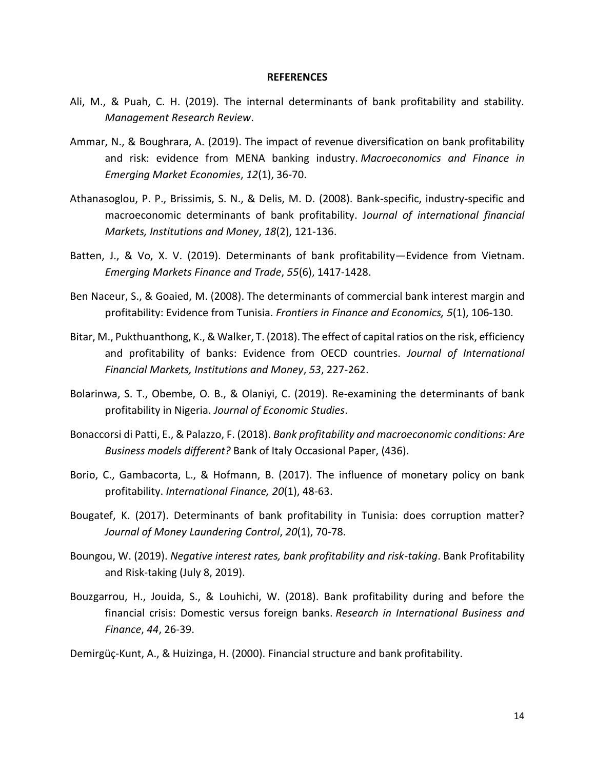#### **REFERENCES**

- Ali, M., & Puah, C. H. (2019). The internal determinants of bank profitability and stability. *Management Research Review*.
- Ammar, N., & Boughrara, A. (2019). The impact of revenue diversification on bank profitability and risk: evidence from MENA banking industry. *Macroeconomics and Finance in Emerging Market Economies*, *12*(1), 36-70.
- Athanasoglou, P. P., Brissimis, S. N., & Delis, M. D. (2008). Bank-specific, industry-specific and macroeconomic determinants of bank profitability. J*ournal of international financial Markets, Institutions and Money*, *18*(2), 121-136.
- Batten, J., & Vo, X. V. (2019). Determinants of bank profitability—Evidence from Vietnam. *Emerging Markets Finance and Trade*, *55*(6), 1417-1428.
- Ben Naceur, S., & Goaied, M. (2008). The determinants of commercial bank interest margin and profitability: Evidence from Tunisia. *Frontiers in Finance and Economics, 5*(1), 106-130.
- Bitar, M., Pukthuanthong, K., & Walker, T. (2018). The effect of capital ratios on the risk, efficiency and profitability of banks: Evidence from OECD countries. *Journal of International Financial Markets, Institutions and Money*, *53*, 227-262.
- Bolarinwa, S. T., Obembe, O. B., & Olaniyi, C. (2019). Re-examining the determinants of bank profitability in Nigeria. *Journal of Economic Studies*.
- Bonaccorsi di Patti, E., & Palazzo, F. (2018). *Bank profitability and macroeconomic conditions: Are Business models different?* Bank of Italy Occasional Paper, (436).
- Borio, C., Gambacorta, L., & Hofmann, B. (2017). The influence of monetary policy on bank profitability. *International Finance, 20*(1), 48-63.
- Bougatef, K. (2017). Determinants of bank profitability in Tunisia: does corruption matter? *Journal of Money Laundering Control*, *20*(1), 70-78.
- Boungou, W. (2019). *Negative interest rates, bank profitability and risk-taking*. Bank Profitability and Risk-taking (July 8, 2019).
- Bouzgarrou, H., Jouida, S., & Louhichi, W. (2018). Bank profitability during and before the financial crisis: Domestic versus foreign banks. *Research in International Business and Finance*, *44*, 26-39.

Demirgüç-Kunt, A., & Huizinga, H. (2000). Financial structure and bank profitability.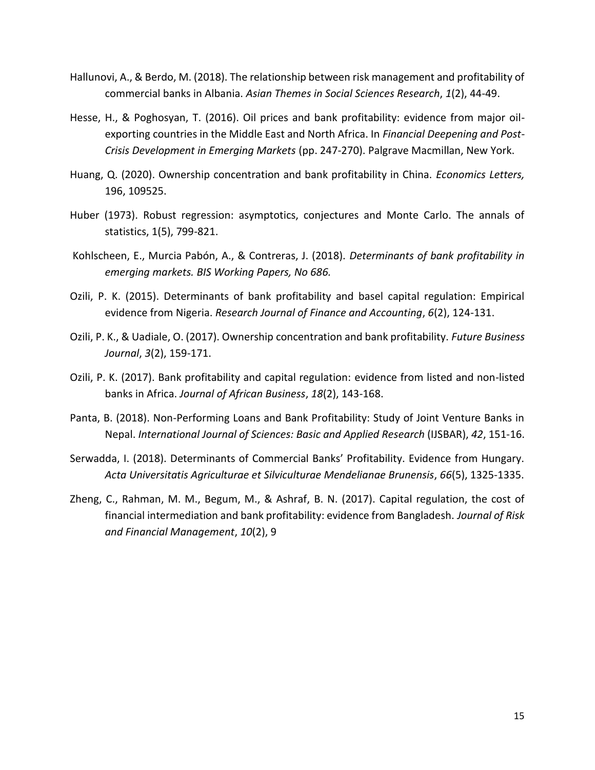- Hallunovi, A., & Berdo, M. (2018). The relationship between risk management and profitability of commercial banks in Albania. *Asian Themes in Social Sciences Research*, *1*(2), 44-49.
- Hesse, H., & Poghosyan, T. (2016). Oil prices and bank profitability: evidence from major oilexporting countries in the Middle East and North Africa. In *Financial Deepening and Post-Crisis Development in Emerging Markets* (pp. 247-270). Palgrave Macmillan, New York.
- Huang, Q. (2020). Ownership concentration and bank profitability in China. *Economics Letters,* 196, 109525.
- Huber (1973). Robust regression: asymptotics, conjectures and Monte Carlo. The annals of statistics, 1(5), 799-821.
- Kohlscheen, E., Murcia Pabón, A., & Contreras, J. (2018). *Determinants of bank profitability in emerging markets. BIS Working Papers, No 686.*
- Ozili, P. K. (2015). Determinants of bank profitability and basel capital regulation: Empirical evidence from Nigeria. *Research Journal of Finance and Accounting*, *6*(2), 124-131.
- Ozili, P. K., & Uadiale, O. (2017). Ownership concentration and bank profitability. *Future Business Journal*, *3*(2), 159-171.
- Ozili, P. K. (2017). Bank profitability and capital regulation: evidence from listed and non-listed banks in Africa. *Journal of African Business*, *18*(2), 143-168.
- Panta, B. (2018). Non-Performing Loans and Bank Profitability: Study of Joint Venture Banks in Nepal. *International Journal of Sciences: Basic and Applied Research* (IJSBAR), *42*, 151-16.
- Serwadda, I. (2018). Determinants of Commercial Banks' Profitability. Evidence from Hungary. *Acta Universitatis Agriculturae et Silviculturae Mendelianae Brunensis*, *66*(5), 1325-1335.
- Zheng, C., Rahman, M. M., Begum, M., & Ashraf, B. N. (2017). Capital regulation, the cost of financial intermediation and bank profitability: evidence from Bangladesh. *Journal of Risk and Financial Management*, *10*(2), 9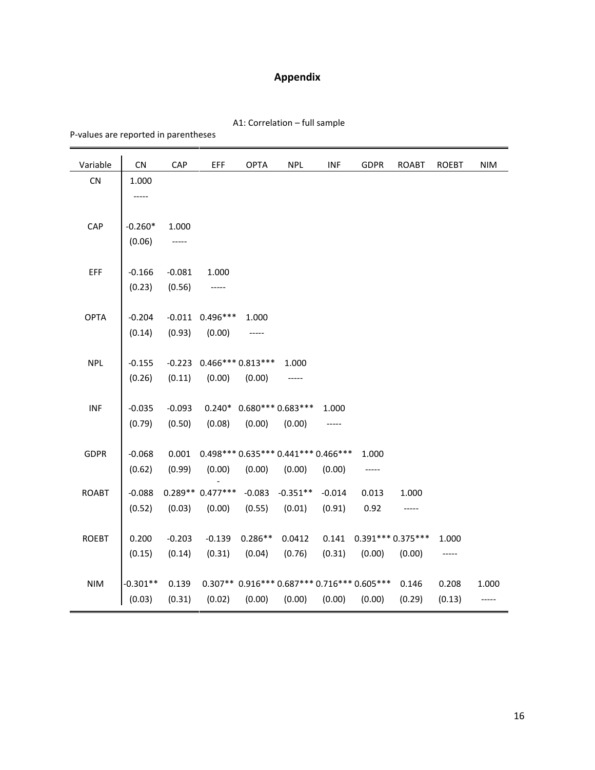# **Appendix**

|  |  |  |  | A1: Correlation - full sample |
|--|--|--|--|-------------------------------|
|--|--|--|--|-------------------------------|

P-values are reported in parentheses

| Variable     | <b>CN</b>  | CAP      | EFF                 | <b>OPTA</b> | <b>NPL</b>                                  | <b>INF</b> | <b>GDPR</b>        | <b>ROABT</b> | <b>ROEBT</b> | <b>NIM</b> |
|--------------|------------|----------|---------------------|-------------|---------------------------------------------|------------|--------------------|--------------|--------------|------------|
| CN           | 1.000      |          |                     |             |                                             |            |                    |              |              |            |
|              | -----      |          |                     |             |                                             |            |                    |              |              |            |
|              |            |          |                     |             |                                             |            |                    |              |              |            |
| CAP          | $-0.260*$  | 1.000    |                     |             |                                             |            |                    |              |              |            |
|              | (0.06)     | -----    |                     |             |                                             |            |                    |              |              |            |
|              |            |          |                     |             |                                             |            |                    |              |              |            |
| EFF          | $-0.166$   | $-0.081$ | 1.000               |             |                                             |            |                    |              |              |            |
|              | (0.23)     | (0.56)   | -----               |             |                                             |            |                    |              |              |            |
|              |            |          |                     |             |                                             |            |                    |              |              |            |
| <b>OPTA</b>  | $-0.204$   |          | $-0.011$ $0.496***$ | 1.000       |                                             |            |                    |              |              |            |
|              | (0.14)     | (0.93)   | (0.00)              | -----       |                                             |            |                    |              |              |            |
|              |            |          | $0.466***0.813***$  |             |                                             |            |                    |              |              |            |
| <b>NPL</b>   | $-0.155$   | $-0.223$ |                     |             | 1.000                                       |            |                    |              |              |            |
|              | (0.26)     | (0.11)   | (0.00)              | (0.00)      | -----                                       |            |                    |              |              |            |
| <b>INF</b>   | $-0.035$   | $-0.093$ |                     |             | $0.240* 0.680***0.683***$                   | 1.000      |                    |              |              |            |
|              | (0.79)     | (0.50)   | (0.08)              | (0.00)      | (0.00)                                      | -----      |                    |              |              |            |
|              |            |          |                     |             |                                             |            |                    |              |              |            |
| <b>GDPR</b>  | $-0.068$   | 0.001    |                     |             | $0.498***0.635***0.441***0.466***$          |            | 1.000              |              |              |            |
|              | (0.62)     | (0.99)   | (0.00)              | (0.00)      | (0.00)                                      | (0.00)     |                    |              |              |            |
|              |            |          |                     |             |                                             |            |                    |              |              |            |
| <b>ROABT</b> | $-0.088$   |          | $0.289**0.477***$   | $-0.083$    | $-0.351**$                                  | $-0.014$   | 0.013              | 1.000        |              |            |
|              | (0.52)     | (0.03)   | (0.00)              | (0.55)      | (0.01)                                      | (0.91)     | 0.92               |              |              |            |
|              |            |          |                     |             |                                             |            |                    |              |              |            |
| <b>ROEBT</b> | 0.200      | $-0.203$ | $-0.139$            | $0.286**$   | 0.0412                                      | 0.141      | $0.391***0.375***$ |              | 1.000        |            |
|              | (0.15)     | (0.14)   | (0.31)              | (0.04)      | (0.76)                                      | (0.31)     | (0.00)             | (0.00)       | -----        |            |
| <b>NIM</b>   | $-0.301**$ | 0.139    |                     |             | 0.307** 0.916*** 0.687*** 0.716*** 0.605*** |            |                    | 0.146        | 0.208        | 1.000      |
|              |            |          |                     |             |                                             |            |                    |              |              |            |
|              | (0.03)     | (0.31)   | (0.02)              | (0.00)      | (0.00)                                      | (0.00)     | (0.00)             | (0.29)       | (0.13)       |            |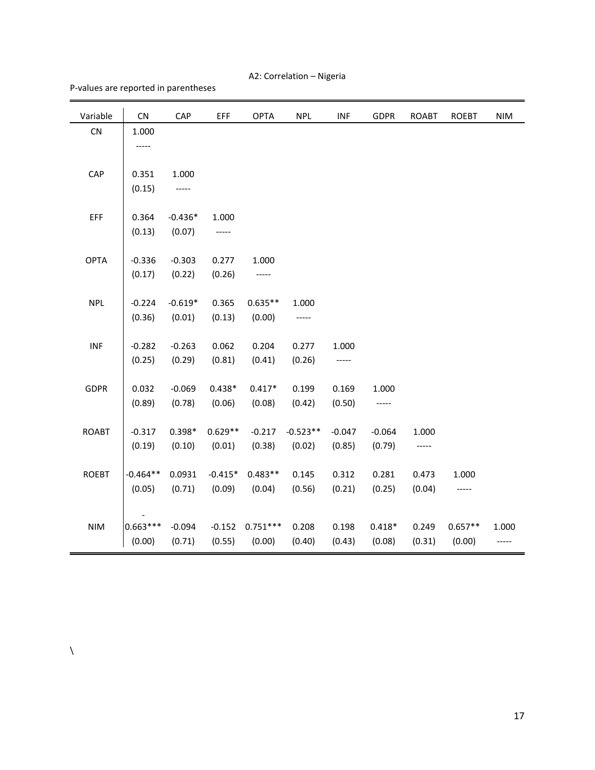A2: Correlation – Nigeria

P-values are reported in parentheses

| Variable                    | CN         | CAP       | EFF       | <b>OPTA</b> | <b>NPL</b> | <b>INF</b> | <b>GDPR</b> | <b>ROABT</b> | <b>ROEBT</b> | <b>NIM</b> |
|-----------------------------|------------|-----------|-----------|-------------|------------|------------|-------------|--------------|--------------|------------|
| CN                          | 1.000      |           |           |             |            |            |             |              |              |            |
|                             | -----      |           |           |             |            |            |             |              |              |            |
|                             |            |           |           |             |            |            |             |              |              |            |
| CAP                         | 0.351      | 1.000     |           |             |            |            |             |              |              |            |
|                             | (0.15)     | -----     |           |             |            |            |             |              |              |            |
| EFF                         | 0.364      | $-0.436*$ | 1.000     |             |            |            |             |              |              |            |
|                             |            |           |           |             |            |            |             |              |              |            |
|                             | (0.13)     | (0.07)    | -----     |             |            |            |             |              |              |            |
| <b>OPTA</b>                 | $-0.336$   | $-0.303$  | 0.277     | 1.000       |            |            |             |              |              |            |
|                             | (0.17)     | (0.22)    | (0.26)    | -----       |            |            |             |              |              |            |
|                             |            |           |           |             |            |            |             |              |              |            |
| <b>NPL</b>                  | $-0.224$   | $-0.619*$ | 0.365     | $0.635**$   | 1.000      |            |             |              |              |            |
|                             | (0.36)     | (0.01)    | (0.13)    | (0.00)      | -----      |            |             |              |              |            |
|                             |            |           |           |             |            |            |             |              |              |            |
| INF                         | $-0.282$   | $-0.263$  | 0.062     | 0.204       | 0.277      | 1.000      |             |              |              |            |
|                             | (0.25)     | (0.29)    | (0.81)    | (0.41)      | (0.26)     | -----      |             |              |              |            |
|                             |            |           |           |             |            |            |             |              |              |            |
| <b>GDPR</b>                 | 0.032      | $-0.069$  | $0.438*$  | $0.417*$    | 0.199      | 0.169      | 1.000       |              |              |            |
|                             | (0.89)     | (0.78)    | (0.06)    | (0.08)      | (0.42)     | (0.50)     | -----       |              |              |            |
|                             |            |           |           |             |            |            |             |              |              |            |
| <b>ROABT</b>                | $-0.317$   | $0.398*$  | $0.629**$ | $-0.217$    | $-0.523**$ | $-0.047$   | $-0.064$    | 1.000        |              |            |
|                             | (0.19)     | (0.10)    | (0.01)    | (0.38)      | (0.02)     | (0.85)     | (0.79)      | -----        |              |            |
| <b>ROEBT</b>                | $-0.464**$ | 0.0931    | $-0.415*$ | $0.483**$   | 0.145      | 0.312      | 0.281       | 0.473        | 1.000        |            |
|                             | (0.05)     | (0.71)    |           | (0.04)      |            |            |             |              |              |            |
|                             |            |           | (0.09)    |             | (0.56)     | (0.21)     | (0.25)      | (0.04)       | -----        |            |
|                             |            |           |           |             |            |            |             |              |              |            |
| $\ensuremath{\mathsf{NIM}}$ | $0.663***$ | $-0.094$  | $-0.152$  | $0.751***$  | 0.208      | 0.198      | $0.418*$    | 0.249        | $0.657**$    | 1.000      |
|                             | (0.00)     | (0.71)    | (0.55)    | (0.00)      | (0.40)     | (0.43)     | (0.08)      | (0.31)       | (0.00)       | $-----1$   |

 $\bar{\sqrt{2}}$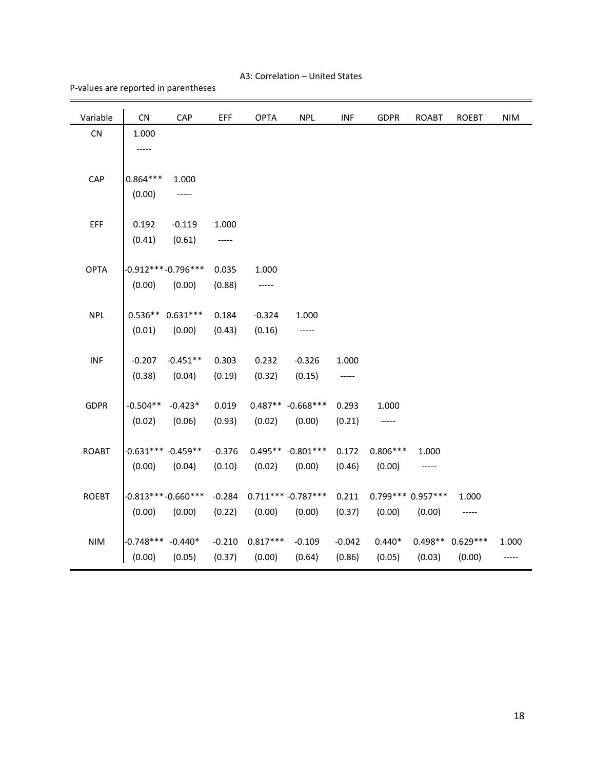#### A3: Correlation – United States

#### P-values are reported in parentheses

| <b>OPTA</b><br><b>NPL</b><br>Variable<br>CN<br>CAP<br>EFF<br><b>INF</b><br><b>GDPR</b>               | <b>ROABT</b>       | <b>ROEBT</b>     | <b>NIM</b> |
|------------------------------------------------------------------------------------------------------|--------------------|------------------|------------|
| CN<br>1.000                                                                                          |                    |                  |            |
| -----                                                                                                |                    |                  |            |
|                                                                                                      |                    |                  |            |
| CAP<br>$0.864***$<br>1.000                                                                           |                    |                  |            |
| (0.00)<br>-----                                                                                      |                    |                  |            |
| EFF<br>0.192<br>$-0.119$<br>1.000                                                                    |                    |                  |            |
| (0.41)<br>(0.61)<br>-----                                                                            |                    |                  |            |
|                                                                                                      |                    |                  |            |
| <b>OPTA</b><br>$-0.912***-0.796***$<br>0.035<br>1.000                                                |                    |                  |            |
| (0.00)<br>(0.00)<br>(0.88)<br>-----                                                                  |                    |                  |            |
|                                                                                                      |                    |                  |            |
| <b>NPL</b><br>$0.536**0.631***$<br>$-0.324$<br>0.184<br>1.000                                        |                    |                  |            |
| (0.01)<br>(0.00)<br>(0.43)<br>(0.16)<br>-----                                                        |                    |                  |            |
|                                                                                                      |                    |                  |            |
| $-0.451**$<br><b>INF</b><br>$-0.207$<br>0.303<br>0.232<br>$-0.326$<br>1.000                          |                    |                  |            |
| (0.38)<br>(0.04)<br>(0.19)<br>(0.32)<br>(0.15)<br>-----                                              |                    |                  |            |
|                                                                                                      |                    |                  |            |
| <b>GDPR</b><br>$0.487** -0.668***$<br>$-0.504**$<br>$-0.423*$<br>0.019<br>0.293<br>1.000             |                    |                  |            |
| (0.02)<br>(0.06)<br>(0.93)<br>(0.02)<br>(0.00)<br>(0.21)<br>-----                                    |                    |                  |            |
| <b>ROABT</b><br>$-0.631***$ $-0.459**$<br>$-0.376$<br>$0.495** -0.801***$<br>0.172<br>$0.806***$     | 1.000              |                  |            |
| (0.04)<br>(0.02)<br>(0.00)                                                                           |                    |                  |            |
| (0.10)<br>(0.00)<br>(0.46)<br>(0.00)                                                                 |                    |                  |            |
| $-0.813***-0.660***$<br>$0.711***-0.787***$<br><b>ROEBT</b><br>$-0.284$<br>0.211                     | $0.799***0.957***$ | 1.000            |            |
| (0.37)<br>(0.00)<br>(0.00)<br>(0.00)<br>(0.22)<br>(0.00)<br>(0.00)                                   | (0.00)             | -----            |            |
|                                                                                                      |                    |                  |            |
| <b>NIM</b><br>$-0.748***$<br>$-0.440*$<br>$-0.210$<br>$0.817***$<br>$-0.109$<br>$-0.042$<br>$0.440*$ |                    | 0.498** 0.629*** | 1.000      |
| (0.00)<br>(0.05)<br>(0.00)<br>(0.37)<br>(0.64)<br>(0.86)<br>(0.05)                                   | (0.03)             | (0.00)           | -----      |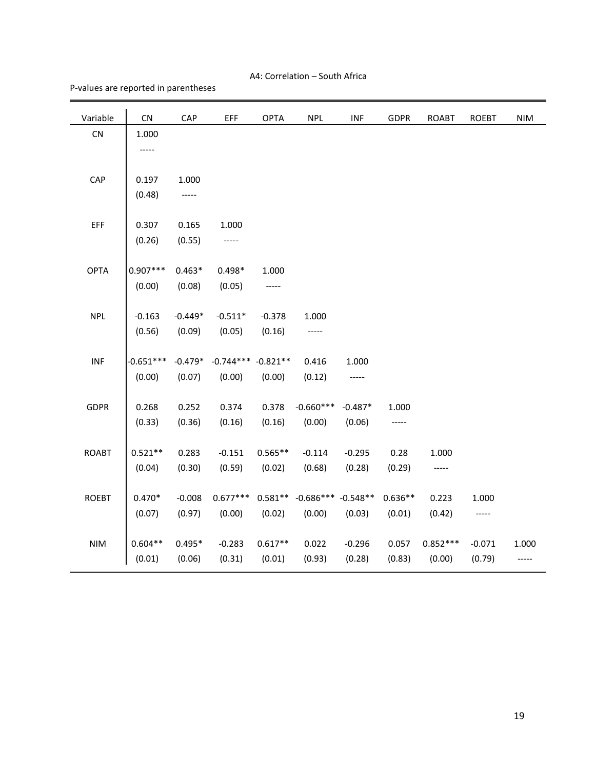#### A4: Correlation – South Africa

P-values are reported in parentheses

| Variable     | CN          | CAP       | EFF         | <b>OPTA</b> | <b>NPL</b>             | <b>INF</b> | <b>GDPR</b> | <b>ROABT</b> | <b>ROEBT</b> | <b>NIM</b> |
|--------------|-------------|-----------|-------------|-------------|------------------------|------------|-------------|--------------|--------------|------------|
| CN           | 1.000       |           |             |             |                        |            |             |              |              |            |
|              | -----       |           |             |             |                        |            |             |              |              |            |
|              |             |           |             |             |                        |            |             |              |              |            |
| CAP          | 0.197       | 1.000     |             |             |                        |            |             |              |              |            |
|              | (0.48)      | -----     |             |             |                        |            |             |              |              |            |
|              |             |           |             |             |                        |            |             |              |              |            |
| EFF          | 0.307       | 0.165     | 1.000       |             |                        |            |             |              |              |            |
|              | (0.26)      | (0.55)    | -----       |             |                        |            |             |              |              |            |
| <b>OPTA</b>  | $0.907***$  | $0.463*$  | $0.498*$    | 1.000       |                        |            |             |              |              |            |
|              |             |           |             |             |                        |            |             |              |              |            |
|              | (0.00)      | (0.08)    | (0.05)      | -----       |                        |            |             |              |              |            |
| <b>NPL</b>   | $-0.163$    | $-0.449*$ | $-0.511*$   | $-0.378$    | 1.000                  |            |             |              |              |            |
|              | (0.56)      | (0.09)    | (0.05)      | (0.16)      | -----                  |            |             |              |              |            |
|              |             |           |             |             |                        |            |             |              |              |            |
| INF          | $-0.651***$ | $-0.479*$ | $-0.744***$ | $-0.821**$  | 0.416                  | 1.000      |             |              |              |            |
|              | (0.00)      | (0.07)    | (0.00)      | (0.00)      | (0.12)                 | -----      |             |              |              |            |
|              |             |           |             |             |                        |            |             |              |              |            |
| <b>GDPR</b>  | 0.268       | 0.252     | 0.374       | 0.378       | $-0.660***$            | $-0.487*$  | 1.000       |              |              |            |
|              | (0.33)      | (0.36)    | (0.16)      | (0.16)      | (0.00)                 | (0.06)     | -----       |              |              |            |
|              |             |           |             |             |                        |            |             |              |              |            |
| <b>ROABT</b> | $0.521**$   | 0.283     | $-0.151$    | $0.565**$   | $-0.114$               | $-0.295$   | 0.28        | 1.000        |              |            |
|              | (0.04)      | (0.30)    | (0.59)      | (0.02)      | (0.68)                 | (0.28)     | (0.29)      | -----        |              |            |
|              |             |           |             |             |                        |            |             |              |              |            |
| <b>ROEBT</b> | $0.470*$    | $-0.008$  | $0.677***$  | $0.581**$   | $-0.686***$ $-0.548**$ |            | $0.636**$   | 0.223        | 1.000        |            |
|              | (0.07)      | (0.97)    | (0.00)      | (0.02)      | (0.00)                 | (0.03)     | (0.01)      | (0.42)       | -----        |            |
|              |             |           |             |             |                        |            |             |              |              |            |
| <b>NIM</b>   | $0.604**$   | $0.495*$  | $-0.283$    | $0.617**$   | 0.022                  | $-0.296$   | 0.057       | $0.852***$   | $-0.071$     | 1.000      |
|              | (0.01)      | (0.06)    | (0.31)      | (0.01)      | (0.93)                 | (0.28)     | (0.83)      | (0.00)       | (0.79)       | -----      |